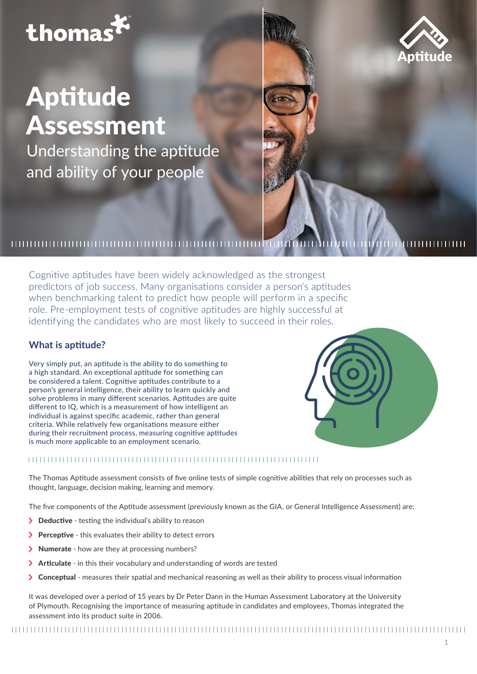# thomast

# Aptitude Assessment

Understanding the aptitude and ability of your people

## 

Cognitive aptitudes have been widely acknowledged as the strongest predictors of job success. Many organisations consider a person's aptitudes when benchmarking talent to predict how people will perform in a specific role. Pre-employment tests of cognitive aptitudes are highly successful at identifying the candidates who are most likely to succeed in their roles.

### **What is aptitude?**

Very simply put, an aptitude is the ability to do something to a high standard. An exceptional aptitude for something can be considered a talent. Cognitive aptitudes contribute to a person's general intelligence, their ability to learn quickly and solve problems in many different scenarios. Aptitudes are quite different to IQ, which is a measurement of how intelligent an individual is against specific academic, rather than general criteria. While relatively few organisations measure either during their recruitment process, measuring cognitive aptitudes is much more applicable to an employment scenario.

# 

The Thomas Aptitude assessment consists of five online tests of simple cognitive abilities that rely on processes such as thought, language, decision making, learning and memory.

The five components of the Aptitude assessment (previously known as the GIA, or General Intelligence Assessment) are:

- > **Deductive** testing the individual's ability to reason
- > **Perceptive** this evaluates their ability to detect errors
- >Numerate how are they at processing numbers?
- > Articulate in this their vocabulary and understanding of words are tested
- >Conceptual measures their spatial and mechanical reasoning as well as their ability to process visual information

It was developed over a period of 15 years by Dr Peter Dann in the Human Assessment Laboratory at the University of Plymouth. Recognising the importance of measuring aptitude in candidates and employees, Thomas integrated the assessment into its product suite in 2006.



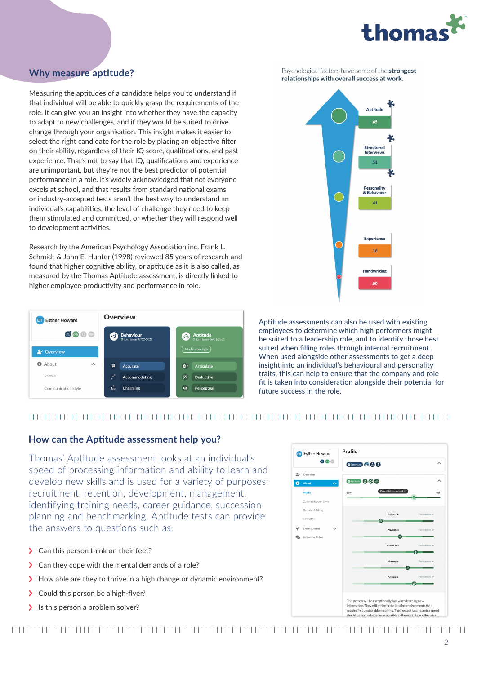

## **Why measure aptitude?**

Measuring the aptitudes of a candidate helps you to understand if that individual will be able to quickly grasp the requirements of the role. It can give you an insight into whether they have the capacity to adapt to new challenges, and if they would be suited to drive change through your organisation. This insight makes it easier to select the right candidate for the role by placing an objective filter on their ability, regardless of their IQ score, qualifications, and past experience. That's not to say that IQ, qualifications and experience are unimportant, but they're not the best predictor of potential performance in a role. It's widely acknowledged that not everyone excels at school, and that results from standard national exams or industry-accepted tests aren't the best way to understand an individual's capabilities, the level of challenge they need to keep them stimulated and committed, or whether they will respond well to development activities.

Research by the American Psychology Association inc. Frank L. Schmidt & John E. Hunter (1998) reviewed 85 years of research and found that higher cognitive ability, or aptitude as it is also called, as measured by the Thomas Aptitude assessment, is directly linked to higher employee productivity and performance in role.





Psychological factors have some of the strongest

Aptitude assessments can also be used with existing employees to determine which high performers might be suited to a leadership role, and to identify those best suited when filling roles through internal recruitment. When used alongside other assessments to get a deep insight into an individual's behavioural and personality traits, this can help to ensure that the company and role fit is taken into consideration alongside their potential for future success in the role.

### 

#### **How can the Aptitude assessment help you?**

Thomas' Aptitude assessment looks at an individual's speed of processing information and ability to learn and develop new skills and is used for a variety of purposes: recruitment, retention, development, management, identifying training needs, career guidance, succession planning and benchmarking. Aptitude tests can provide the answers to questions such as:

- >Can this person think on their feet?
- >Can they cope with the mental demands of a role?
- > How able are they to thrive in a high change or dynamic environment?
- >Could this person be a high-flyer?
- > Is this person a problem solver?